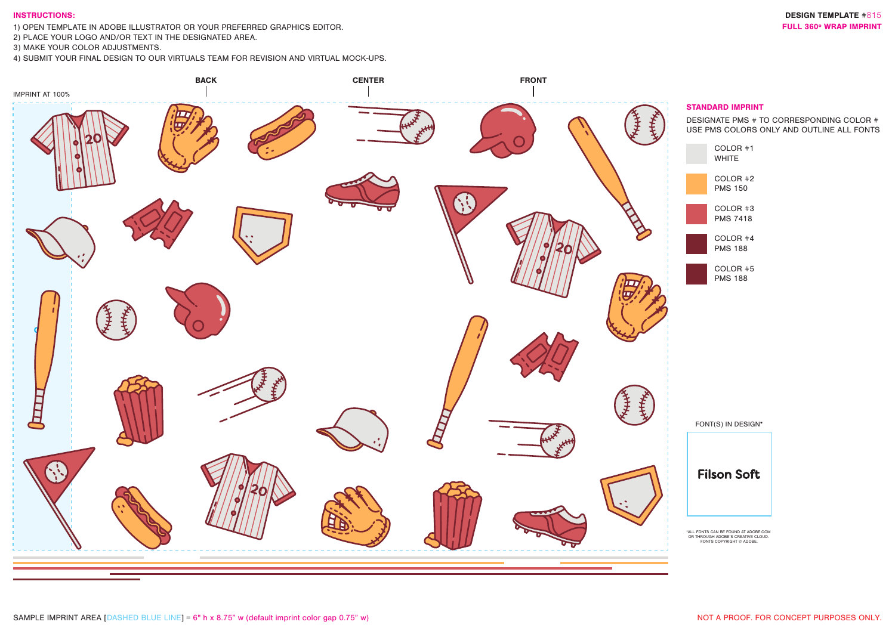## INSTRUCTIONS:

1) OPEN TEMPLATE IN ADOBE ILLUSTRATOR OR YOUR PREFERRED GRAPHICS EDITOR. THE SUBLEAU SERVICE SERVICE SUBLEAU SUBLEAU SERVICE SUBLEAU SERVICE SUBLEAU SERVICE SUBLEAU SERVICE SUBLEAU SERVICE SUBLEAU SERVICE SUBLEAU SERVICE S

2) PLACE YOUR LOGO AND/OR TEXT IN THE DESIGNATED AREA.

3) MAKE YOUR COLOR ADJUSTMENTS.

4) SUBMIT YOUR FINAL DESIGN TO OUR VIRTUALS TEAM FOR REVISION AND VIRTUAL MOCK-UPS.